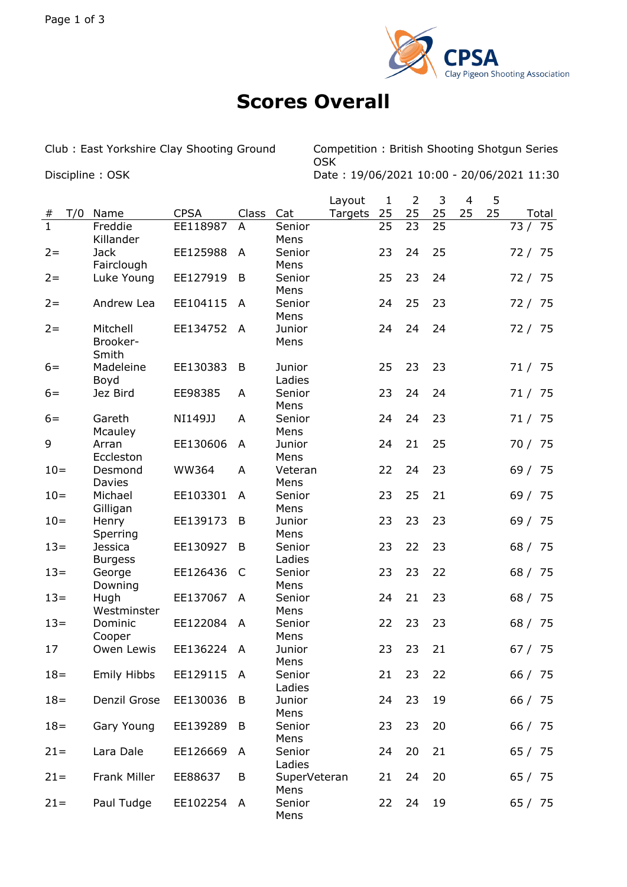

## **Scores Overall**

Club : East Yorkshire Clay Shooting Ground Competition : British Shooting Shotgun Series OSK Discipline : OSK Date : 19/06/2021 10:00 - 20/06/2021 11:30

Layout 1 2 3 4 5 # T/0 Name CPSA Class Cat Targets 25 25 25 25 25 Total 1 Freddie Killander EE118987 A Senior Mens 25 23 25 73 / 75 2= Jack Fairclough EE125988 A Senior Mens 23 24 25 72 / 75 2= Luke Young EE127919 B Senior Mens 25 23 24 72 / 75 2= Andrew Lea EE104115 A Senior Mens 24 25 23 72 / 75 2= Mitchell Brooker-Smith EE134752 A Junior Mens 24 24 24 72 / 75 6= Madeleine Boyd EE130383 B Junior Ladies 25 23 23 71 / 75 6= Jez Bird EE98385 A Senior Mens 23 24 24 71 / 75 6= Gareth **Mcauley** NI149JJ A Senior Mens 24 24 23 71 / 75 9 Arran Eccleston EE130606 A Junior Mens 24 21 25 70 / 75 10= Desmond Davies WW364 A Veteran Mens 22 24 23 69 / 75 10= Michael Gilligan EE103301 A Senior Mens 23 25 21 69 / 75 10= Henry Sperring EE139173 B Junior Mens 23 23 23 69 / 75 13= Jessica **Burgess** EE130927 B Senior Ladies 23 22 23 68 / 75 13= George Downing EE126436 C Senior Mens 23 23 22 68 / 75 13= Hugh Westminster EE137067 A Senior Mens 24 21 23 68 / 75 13= Dominic Cooper EE122084 A Senior Mens 22 23 23 68 / 75 17 Owen Lewis EE136224 A Junior Mens 23 23 21 67 / 75 18= Emily Hibbs EE129115 A Senior Ladies 21 23 22 66 / 75 18= Denzil Grose EE130036 B Junior Mens 24 23 19 66 / 75 18= Gary Young EE139289 B Senior Mens 23 23 20 66 / 75 21= Lara Dale EE126669 A Senior Ladies 24 20 21 65 / 75 21= Frank Miller EE88637 B SuperVeteran Mens 21 24 20 65 / 75 21= Paul Tudge EE102254 A Senior Mens 22 24 19 65 / 75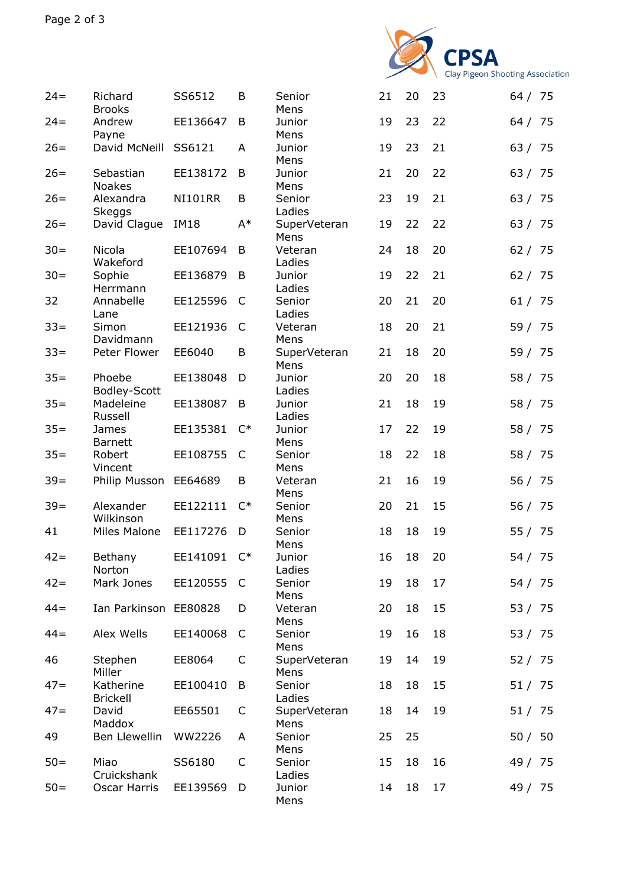

| $24 =$ | Richard<br><b>Brooks</b>     | SS6512         | B              | Senior<br>Mens       | 21 | 20 | 23 | 64 / 75 |
|--------|------------------------------|----------------|----------------|----------------------|----|----|----|---------|
| $24 =$ | Andrew<br>Payne              | EE136647       | B              | Junior<br>Mens       | 19 | 23 | 22 | 64 / 75 |
| $26=$  | David McNeill                | SS6121         | A              | Junior<br>Mens       | 19 | 23 | 21 | 63 / 75 |
| $26=$  | Sebastian<br><b>Noakes</b>   | EE138172       | B              | Junior<br>Mens       | 21 | 20 | 22 | 63 / 75 |
| $26=$  | Alexandra<br><b>Skeggs</b>   | <b>NI101RR</b> | B              | Senior<br>Ladies     | 23 | 19 | 21 | 63 / 75 |
| $26=$  | David Clague                 | <b>IM18</b>    | $A^*$          | SuperVeteran<br>Mens | 19 | 22 | 22 | 63 / 75 |
| $30 =$ | Nicola<br>Wakeford           | EE107694       | B              | Veteran<br>Ladies    | 24 | 18 | 20 | 62 / 75 |
| $30 =$ | Sophie<br>Herrmann           | EE136879       | B              | Junior<br>Ladies     | 19 | 22 | 21 | 62 / 75 |
| 32     | Annabelle<br>Lane            | EE125596       | C              | Senior<br>Ladies     | 20 | 21 | 20 | 61 / 75 |
| $33 =$ | Simon<br>Davidmann           | EE121936       | C              | Veteran<br>Mens      | 18 | 20 | 21 | 59 / 75 |
| $33 =$ | Peter Flower                 | EE6040         | B              | SuperVeteran<br>Mens | 21 | 18 | 20 | 59 / 75 |
| $35 =$ | Phoebe<br>Bodley-Scott       | EE138048       | D              | Junior<br>Ladies     | 20 | 20 | 18 | 58 / 75 |
| $35 =$ | Madeleine<br>Russell         | EE138087       | B              | Junior<br>Ladies     | 21 | 18 | 19 | 58 / 75 |
| $35 =$ | James<br><b>Barnett</b>      | EE135381       | $C^*$          | Junior<br>Mens       | 17 | 22 | 19 | 58 / 75 |
| $35 =$ | Robert<br>Vincent            | EE108755       | C              | Senior<br>Mens       | 18 | 22 | 18 | 58 / 75 |
| $39=$  | Philip Musson                | EE64689        | B              | Veteran<br>Mens      | 21 | 16 | 19 | 56 / 75 |
| $39 =$ | Alexander<br>Wilkinson       | EE122111       | $\mathsf{C}^*$ | Senior<br>Mens       | 20 | 21 | 15 | 56 / 75 |
| 41     | <b>Miles Malone</b>          | EE117276       | D              | Senior<br>Mens       | 18 | 18 | 19 | 55 / 75 |
| $42 =$ | Bethany<br>Norton            | EE141091       | $C^*$          | Junior<br>Ladies     | 16 | 18 | 20 | 54 / 75 |
| $42 =$ | Mark Jones                   | EE120555       | C              | Senior<br>Mens       | 19 | 18 | 17 | 54 / 75 |
| $44 =$ | Ian Parkinson EE80828        |                | D              | Veteran<br>Mens      | 20 | 18 | 15 | 53 / 75 |
| $44 =$ | Alex Wells                   | EE140068       | C              | Senior<br>Mens       | 19 | 16 | 18 | 53 / 75 |
| 46     | Stephen<br>Miller            | EE8064         | C              | SuperVeteran<br>Mens | 19 | 14 | 19 | 52 / 75 |
| $47=$  | Katherine<br><b>Brickell</b> | EE100410       | B              | Senior<br>Ladies     | 18 | 18 | 15 | 51 / 75 |
| $47=$  | David<br>Maddox              | EE65501        | C              | SuperVeteran<br>Mens | 18 | 14 | 19 | 51 / 75 |
| 49     | Ben Llewellin                | WW2226         | A              | Senior<br>Mens       | 25 | 25 |    | 50 / 50 |
| $50=$  | Miao<br>Cruickshank          | SS6180         | C              | Senior<br>Ladies     | 15 | 18 | 16 | 49 / 75 |
| $50=$  | Oscar Harris                 | EE139569       | D              | Junior<br>Mens       | 14 | 18 | 17 | 49 / 75 |